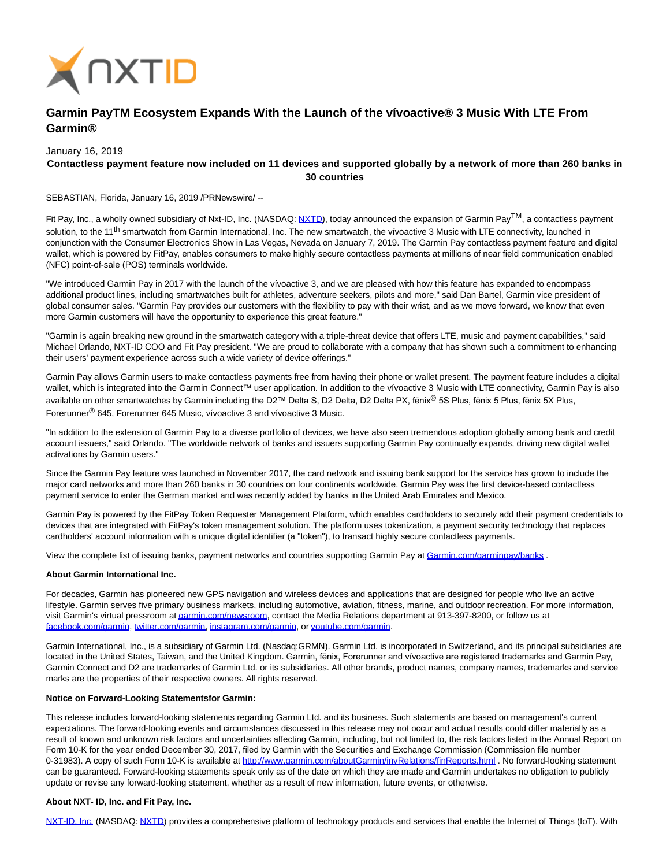

# **Garmin PayTM Ecosystem Expands With the Launch of the vívoactive® 3 Music With LTE From Garmin®**

January 16, 2019

# **Contactless payment feature now included on 11 devices and supported globally by a network of more than 260 banks in 30 countries**

SEBASTIAN, Florida, January 16, 2019 /PRNewswire/ --

Fit Pay, Inc., a wholly owned subsidiary of Nxt-ID, Inc. (NASDAQ: [NXTD\),](https://finance.yahoo.com/q?s=nxtd) today announced the expansion of Garmin Pay<sup>TM</sup>, a contactless payment solution, to the 11<sup>th</sup> smartwatch from Garmin International, Inc. The new smartwatch, the vívoactive 3 Music with LTE connectivity, launched in conjunction with the Consumer Electronics Show in Las Vegas, Nevada on January 7, 2019. The Garmin Pay contactless payment feature and digital wallet, which is powered by FitPay, enables consumers to make highly secure contactless payments at millions of near field communication enabled (NFC) point-of-sale (POS) terminals worldwide.

"We introduced Garmin Pay in 2017 with the launch of the vívoactive 3, and we are pleased with how this feature has expanded to encompass additional product lines, including smartwatches built for athletes, adventure seekers, pilots and more," said Dan Bartel, Garmin vice president of global consumer sales. "Garmin Pay provides our customers with the flexibility to pay with their wrist, and as we move forward, we know that even more Garmin customers will have the opportunity to experience this great feature."

"Garmin is again breaking new ground in the smartwatch category with a triple-threat device that offers LTE, music and payment capabilities," said Michael Orlando, NXT-ID COO and Fit Pay president. "We are proud to collaborate with a company that has shown such a commitment to enhancing their users' payment experience across such a wide variety of device offerings."

Garmin Pay allows Garmin users to make contactless payments free from having their phone or wallet present. The payment feature includes a digital wallet, which is integrated into the Garmin Connect™ user application. In addition to the vívoactive 3 Music with LTE connectivity, Garmin Pay is also available on other smartwatches by Garmin including the D2™ Delta S, D2 Delta, D2 Delta PX, fēnix® 5S Plus, fēnix 5 Plus, fēnix 5X Plus, Forerunner® 645, Forerunner 645 Music, vívoactive 3 and vívoactive 3 Music.

"In addition to the extension of Garmin Pay to a diverse portfolio of devices, we have also seen tremendous adoption globally among bank and credit account issuers," said Orlando. "The worldwide network of banks and issuers supporting Garmin Pay continually expands, driving new digital wallet activations by Garmin users."

Since the Garmin Pay feature was launched in November 2017, the card network and issuing bank support for the service has grown to include the major card networks and more than 260 banks in 30 countries on four continents worldwide. Garmin Pay was the first device-based contactless payment service to enter the German market and was recently added by banks in the United Arab Emirates and Mexico.

Garmin Pay is powered by the FitPay Token Requester Management Platform, which enables cardholders to securely add their payment credentials to devices that are integrated with FitPay's token management solution. The platform uses tokenization, a payment security technology that replaces cardholders' account information with a unique digital identifier (a "token"), to transact highly secure contactless payments.

View the complete list of issuing banks, payment networks and countries supporting Garmin Pay at Garmin.com/garminpay/banks.

## **About Garmin International Inc.**

For decades, Garmin has pioneered new GPS navigation and wireless devices and applications that are designed for people who live an active lifestyle. Garmin serves five primary business markets, including automotive, aviation, fitness, marine, and outdoor recreation. For more information, visit Garmin's virtual pressroom a[t garmin.com/newsroom,](http://www.garmin.com/newsroom) contact the Media Relations department at 913-397-8200, or follow us at [facebook.com/garmin,](http://www.facebook.com/garmin) [twitter.com/garmin,](http://www.twitter.com/garmin) [instagram.com/garmin,](https://www.instagram.com/garmin/) o[r youtube.com/garmin.](http://www.youtube.com/garmin)

Garmin International, Inc., is a subsidiary of Garmin Ltd. (Nasdaq:GRMN). Garmin Ltd. is incorporated in Switzerland, and its principal subsidiaries are located in the United States, Taiwan, and the United Kingdom. Garmin, fēnix, Forerunner and vívoactive are registered trademarks and Garmin Pay, Garmin Connect and D2 are trademarks of Garmin Ltd. or its subsidiaries. All other brands, product names, company names, trademarks and service marks are the properties of their respective owners. All rights reserved.

#### **Notice on Forward-Looking Statementsfor Garmin:**

This release includes forward-looking statements regarding Garmin Ltd. and its business. Such statements are based on management's current expectations. The forward-looking events and circumstances discussed in this release may not occur and actual results could differ materially as a result of known and unknown risk factors and uncertainties affecting Garmin, including, but not limited to, the risk factors listed in the Annual Report on Form 10-K for the year ended December 30, 2017, filed by Garmin with the Securities and Exchange Commission (Commission file number 0-31983). A copy of such Form 10-K is available at [http://www.garmin.com/aboutGarmin/invRelations/finReports.html .](http://www.garmin.com/aboutGarmin/invRelations/finReports.html) No forward-looking statement can be guaranteed. Forward-looking statements speak only as of the date on which they are made and Garmin undertakes no obligation to publicly update or revise any forward-looking statement, whether as a result of new information, future events, or otherwise.

## **About NXT- ID, Inc. and Fit Pay, Inc.**

[NXT-ID, Inc. \(](http://www.nxt-id.com/)NASDAQ[: NXTD\)](https://finance.yahoo.com/q?s=nxtd) provides a comprehensive platform of technology products and services that enable the Internet of Things (IoT). With